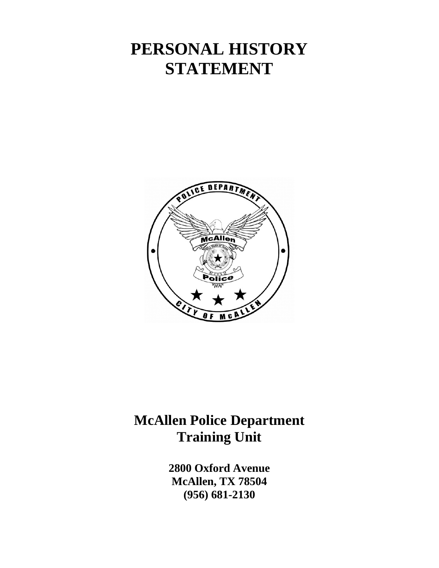# **PERSONAL HISTORY STATEMENT**



# **McAllen Police Department Training Unit**

**2800 Oxford Avenue McAllen, TX 78504 (956) 681-2130**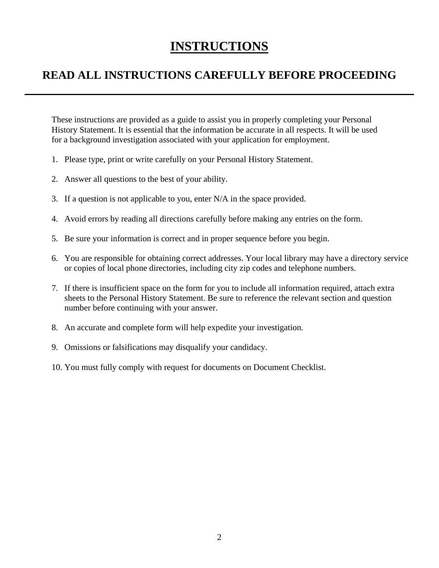# **INSTRUCTIONS**

# **READ ALL INSTRUCTIONS CAREFULLY BEFORE PROCEEDING**

These instructions are provided as a guide to assist you in properly completing your Personal History Statement. It is essential that the information be accurate in all respects. It will be used for a background investigation associated with your application for employment.

- 1. Please type, print or write carefully on your Personal History Statement.
- 2. Answer all questions to the best of your ability.
- 3. If a question is not applicable to you, enter N/A in the space provided.
- 4. Avoid errors by reading all directions carefully before making any entries on the form.
- 5. Be sure your information is correct and in proper sequence before you begin.
- 6. You are responsible for obtaining correct addresses. Your local library may have a directory service or copies of local phone directories, including city zip codes and telephone numbers.
- 7. If there is insufficient space on the form for you to include all information required, attach extra sheets to the Personal History Statement. Be sure to reference the relevant section and question number before continuing with your answer.
- 8. An accurate and complete form will help expedite your investigation.
- 9. Omissions or falsifications may disqualify your candidacy.
- 10. You must fully comply with request for documents on Document Checklist.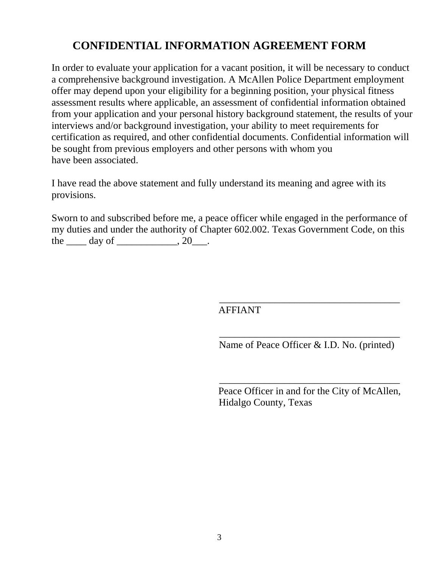# **CONFIDENTIAL INFORMATION AGREEMENT FORM**

In order to evaluate your application for a vacant position, it will be necessary to conduct a comprehensive background investigation. A McAllen Police Department employment offer may depend upon your eligibility for a beginning position, your physical fitness assessment results where applicable, an assessment of confidential information obtained from your application and your personal history background statement, the results of your interviews and/or background investigation, your ability to meet requirements for certification as required, and other confidential documents. Confidential information will be sought from previous employers and other persons with whom you have been associated.

I have read the above statement and fully understand its meaning and agree with its provisions.

Sworn to and subscribed before me, a peace officer while engaged in the performance of my duties and under the authority of Chapter 602.002. Texas Government Code, on this the  $\rule{1em}{0.15mm}$  day of  $\rule{1em}{0.15mm}$   $\qquad$   $\qquad$   $\qquad$   $\qquad$   $\qquad$   $\qquad$   $\qquad$   $\qquad$   $\qquad$   $\qquad$   $\qquad$   $\qquad$   $\qquad$   $\qquad$   $\qquad$   $\qquad$   $\qquad$   $\qquad$   $\qquad$   $\qquad$   $\qquad$   $\qquad$   $\qquad$   $\qquad$   $\qquad$   $\qquad$   $\qquad$   $\qquad$   $\qquad$   $\qquad$ 

AFFIANT

\_\_\_\_\_\_\_\_\_\_\_\_\_\_\_\_\_\_\_\_\_\_\_\_\_\_\_\_\_\_\_\_\_\_\_\_ Name of Peace Officer & I.D. No. (printed)

\_\_\_\_\_\_\_\_\_\_\_\_\_\_\_\_\_\_\_\_\_\_\_\_\_\_\_\_\_\_\_\_\_\_\_\_

Peace Officer in and for the City of McAllen, Hidalgo County, Texas

\_\_\_\_\_\_\_\_\_\_\_\_\_\_\_\_\_\_\_\_\_\_\_\_\_\_\_\_\_\_\_\_\_\_\_\_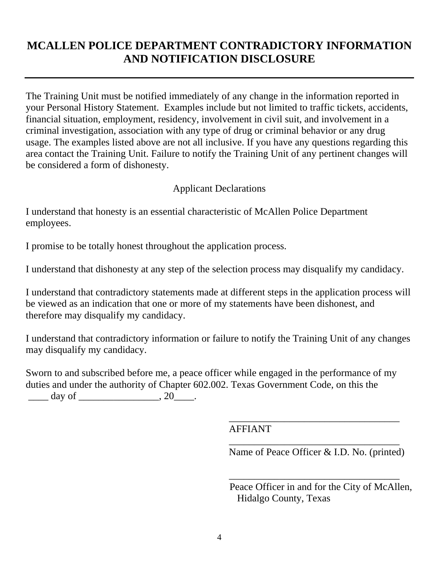# **MCALLEN POLICE DEPARTMENT CONTRADICTORY INFORMATION AND NOTIFICATION DISCLOSURE**

The Training Unit must be notified immediately of any change in the information reported in your Personal History Statement. Examples include but not limited to traffic tickets, accidents, financial situation, employment, residency, involvement in civil suit, and involvement in a criminal investigation, association with any type of drug or criminal behavior or any drug usage. The examples listed above are not all inclusive. If you have any questions regarding this area contact the Training Unit. Failure to notify the Training Unit of any pertinent changes will be considered a form of dishonesty.

### Applicant Declarations

I understand that honesty is an essential characteristic of McAllen Police Department employees.

I promise to be totally honest throughout the application process.

I understand that dishonesty at any step of the selection process may disqualify my candidacy.

I understand that contradictory statements made at different steps in the application process will be viewed as an indication that one or more of my statements have been dishonest, and therefore may disqualify my candidacy.

I understand that contradictory information or failure to notify the Training Unit of any changes may disqualify my candidacy.

Sworn to and subscribed before me, a peace officer while engaged in the performance of my duties and under the authority of Chapter 602.002. Texas Government Code, on this the  $\frac{day \text{ of }$ 

AFFIANT

Name of Peace Officer & I.D. No. (printed)

\_\_\_\_\_\_\_\_\_\_\_\_\_\_\_\_\_\_\_\_\_\_\_\_\_\_\_\_\_\_\_\_\_\_

\_\_\_\_\_\_\_\_\_\_\_\_\_\_\_\_\_\_\_\_\_\_\_\_\_\_\_\_\_\_\_\_\_\_

 $\overline{\phantom{a}}$  ,  $\overline{\phantom{a}}$  ,  $\overline{\phantom{a}}$  ,  $\overline{\phantom{a}}$  ,  $\overline{\phantom{a}}$  ,  $\overline{\phantom{a}}$  ,  $\overline{\phantom{a}}$  ,  $\overline{\phantom{a}}$  ,  $\overline{\phantom{a}}$  ,  $\overline{\phantom{a}}$  ,  $\overline{\phantom{a}}$  ,  $\overline{\phantom{a}}$  ,  $\overline{\phantom{a}}$  ,  $\overline{\phantom{a}}$  ,  $\overline{\phantom{a}}$  ,  $\overline{\phantom{a}}$ 

 Peace Officer in and for the City of McAllen, Hidalgo County, Texas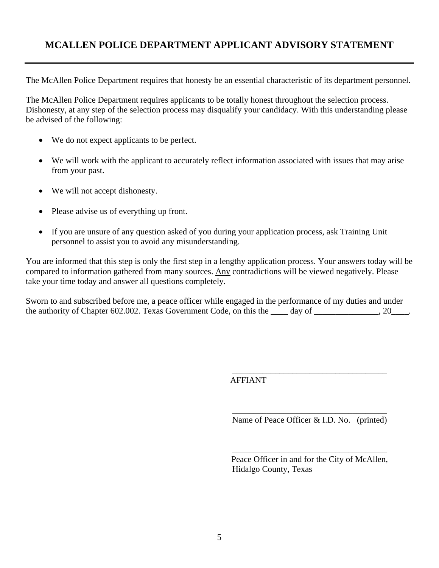# **MCALLEN POLICE DEPARTMENT APPLICANT ADVISORY STATEMENT**

The McAllen Police Department requires that honesty be an essential characteristic of its department personnel.

The McAllen Police Department requires applicants to be totally honest throughout the selection process. Dishonesty, at any step of the selection process may disqualify your candidacy. With this understanding please be advised of the following:

- We do not expect applicants to be perfect.
- We will work with the applicant to accurately reflect information associated with issues that may arise from your past.
- We will not accept dishonesty.
- Please advise us of everything up front.
- If you are unsure of any question asked of you during your application process, ask Training Unit personnel to assist you to avoid any misunderstanding.

You are informed that this step is only the first step in a lengthy application process. Your answers today will be compared to information gathered from many sources. Any contradictions will be viewed negatively. Please take your time today and answer all questions completely.

Sworn to and subscribed before me, a peace officer while engaged in the performance of my duties and under the authority of Chapter 602.002. Texas Government Code, on this the \_\_\_\_ day of \_\_\_\_\_\_\_\_\_\_\_\_, 20\_\_\_\_.

AFFIANT

\_\_\_\_\_\_\_\_\_\_\_\_\_\_\_\_\_\_\_\_\_\_\_\_\_\_\_\_\_\_\_\_\_\_\_\_ Name of Peace Officer & I.D. No. (printed)

\_\_\_\_\_\_\_\_\_\_\_\_\_\_\_\_\_\_\_\_\_\_\_\_\_\_\_\_\_\_\_\_\_\_\_\_

Peace Officer in and for the City of McAllen, Hidalgo County, Texas

\_\_\_\_\_\_\_\_\_\_\_\_\_\_\_\_\_\_\_\_\_\_\_\_\_\_\_\_\_\_\_\_\_\_\_\_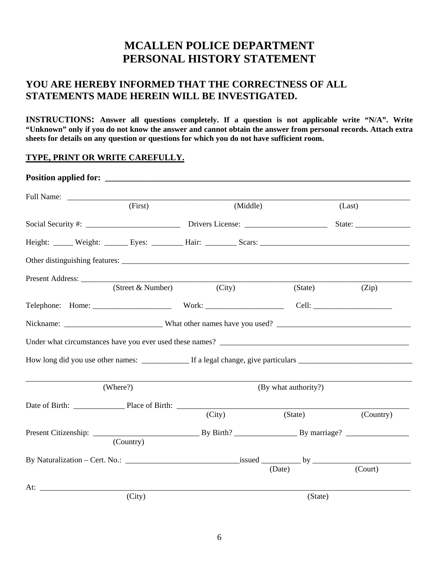# **MCALLEN POLICE DEPARTMENT PERSONAL HISTORY STATEMENT**

### **YOU ARE HEREBY INFORMED THAT THE CORRECTNESS OF ALL STATEMENTS MADE HEREIN WILL BE INVESTIGATED.**

**INSTRUCTIONS:** Answer all questions completely. If a question is not applicable write "N/A". Write **"Unknown" only if you do not know the answer and cannot obtain the answer from personal records. Attach extra sheets for details on any question or questions for which you do not have sufficient room.** 

#### **TYPE, PRINT OR WRITE CAREFULLY.**

| (First)           | (Middle) |                      |           |
|-------------------|----------|----------------------|-----------|
|                   |          |                      | (Last)    |
|                   |          |                      |           |
|                   |          |                      |           |
|                   |          |                      |           |
| Present Address:  |          |                      |           |
| (Street & Number) | (City)   | (State)              | (Zip)     |
|                   |          |                      |           |
|                   |          |                      |           |
|                   |          |                      |           |
|                   |          |                      |           |
| (Where?)          |          | (By what authority?) |           |
|                   |          |                      |           |
|                   | (City)   | (State)              | (Country) |
|                   |          |                      |           |
| (Country)         |          |                      |           |
|                   |          |                      |           |
|                   |          |                      | (Court)   |
|                   |          |                      |           |
| (City)            |          | (State)              |           |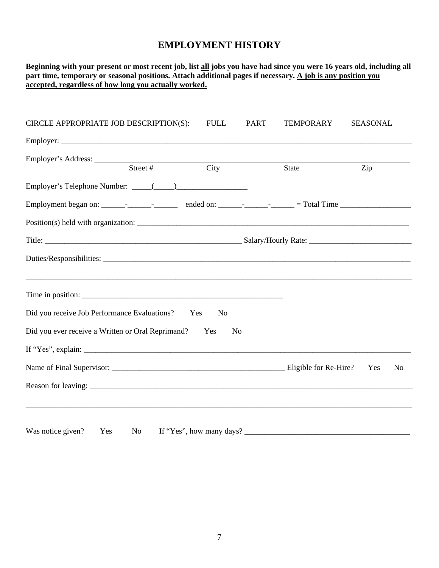| Beginning with your present or most recent job, list all jobs you have had since you were 16 years old, including all<br>part time, temporary or seasonal positions. Attach additional pages if necessary. A job is any position you<br>accepted, regardless of how long you actually worked.                                                                                                                                                               |                  |                       |
|-------------------------------------------------------------------------------------------------------------------------------------------------------------------------------------------------------------------------------------------------------------------------------------------------------------------------------------------------------------------------------------------------------------------------------------------------------------|------------------|-----------------------|
| <b>FULL</b><br><b>PART</b><br>CIRCLE APPROPRIATE JOB DESCRIPTION(S):                                                                                                                                                                                                                                                                                                                                                                                        | <b>TEMPORARY</b> | <b>SEASONAL</b>       |
|                                                                                                                                                                                                                                                                                                                                                                                                                                                             |                  |                       |
| Employer's Address: <u>Street #</u><br>$\overline{\mathrm{City}}$                                                                                                                                                                                                                                                                                                                                                                                           | State            | Zip                   |
|                                                                                                                                                                                                                                                                                                                                                                                                                                                             |                  |                       |
|                                                                                                                                                                                                                                                                                                                                                                                                                                                             |                  |                       |
|                                                                                                                                                                                                                                                                                                                                                                                                                                                             |                  |                       |
|                                                                                                                                                                                                                                                                                                                                                                                                                                                             |                  |                       |
|                                                                                                                                                                                                                                                                                                                                                                                                                                                             |                  |                       |
|                                                                                                                                                                                                                                                                                                                                                                                                                                                             |                  |                       |
| Did you receive Job Performance Evaluations?<br>Yes<br>No                                                                                                                                                                                                                                                                                                                                                                                                   |                  |                       |
| Did you ever receive a Written or Oral Reprimand?<br>Yes<br>N <sub>0</sub>                                                                                                                                                                                                                                                                                                                                                                                  |                  |                       |
|                                                                                                                                                                                                                                                                                                                                                                                                                                                             |                  |                       |
|                                                                                                                                                                                                                                                                                                                                                                                                                                                             |                  | Yes<br>N <sub>o</sub> |
|                                                                                                                                                                                                                                                                                                                                                                                                                                                             |                  |                       |
| If "Yes", how many days? $\frac{1}{\sqrt{1 - \frac{1}{\sqrt{1 - \frac{1}{\sqrt{1 - \frac{1}{\sqrt{1 - \frac{1}{\sqrt{1 - \frac{1}{\sqrt{1 - \frac{1}{\sqrt{1 - \frac{1}{\sqrt{1 - \frac{1}{\sqrt{1 - \frac{1}{\sqrt{1 - \frac{1}{\sqrt{1 - \frac{1}{\sqrt{1 - \frac{1}{\sqrt{1 - \frac{1}{\sqrt{1 - \frac{1}{\sqrt{1 - \frac{1}{\sqrt{1 - \frac{1}{\sqrt{1 - \frac{1}{\sqrt{1 - \frac{1}{\sqrt{1 - \frac{1}{$<br>Was notice given?<br>Yes<br>N <sub>0</sub> |                  |                       |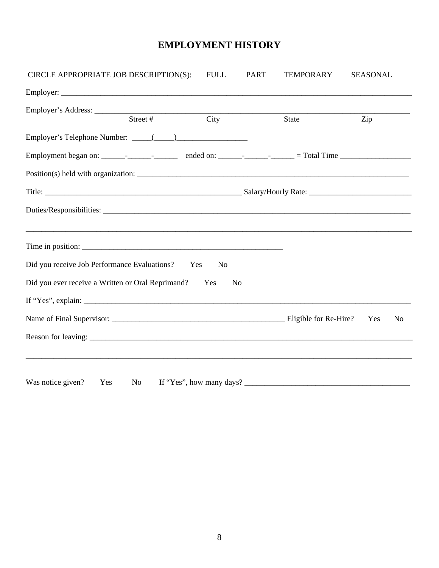| CIRCLE APPROPRIATE JOB DESCRIPTION(S):                | <b>FULL</b>        | <b>PART</b>    | <b>TEMPORARY</b>         | <b>SEASONAL</b> |                |
|-------------------------------------------------------|--------------------|----------------|--------------------------|-----------------|----------------|
|                                                       |                    |                |                          |                 |                |
| Street #                                              | $\overline{C}$ ity |                |                          |                 |                |
|                                                       |                    |                | <b>State</b>             | Zip             |                |
|                                                       |                    |                |                          |                 |                |
|                                                       |                    |                |                          |                 |                |
|                                                       |                    |                |                          |                 |                |
|                                                       |                    |                |                          |                 |                |
|                                                       |                    |                |                          |                 |                |
|                                                       |                    |                |                          |                 |                |
|                                                       |                    |                |                          |                 |                |
| Did you receive Job Performance Evaluations? Yes      | N <sub>0</sub>     |                |                          |                 |                |
| Did you ever receive a Written or Oral Reprimand? Yes |                    | N <sub>0</sub> |                          |                 |                |
| If "Yes", explain:                                    |                    |                |                          |                 |                |
|                                                       |                    |                |                          | Yes             | N <sub>o</sub> |
|                                                       |                    |                |                          |                 |                |
|                                                       |                    |                |                          |                 |                |
|                                                       |                    |                |                          |                 |                |
| Was notice given?<br>Yes<br>No no                     |                    |                | If "Yes", how many days? |                 |                |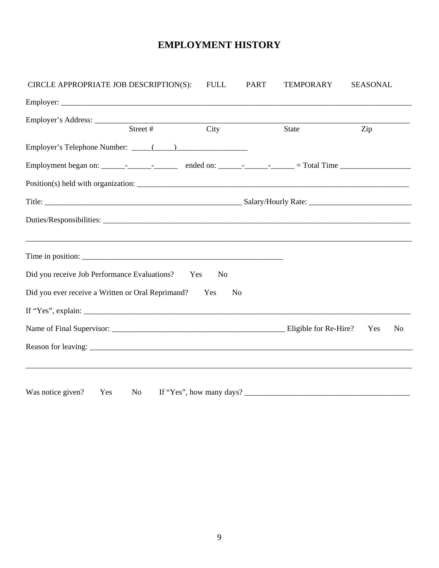| CIRCLE APPROPRIATE JOB DESCRIPTION(S):                | <b>FULL</b>    | <b>PART</b> | <b>TEMPORARY</b>            | <b>SEASONAL</b> |                |
|-------------------------------------------------------|----------------|-------------|-----------------------------|-----------------|----------------|
|                                                       |                |             |                             |                 |                |
|                                                       |                |             |                             |                 |                |
| Street #                                              | City           |             | State                       | Zip             |                |
|                                                       |                |             |                             |                 |                |
|                                                       |                |             |                             |                 |                |
|                                                       |                |             |                             |                 |                |
|                                                       |                |             |                             |                 |                |
|                                                       |                |             |                             |                 |                |
|                                                       |                |             |                             |                 |                |
|                                                       |                |             |                             |                 |                |
| Did you receive Job Performance Evaluations? Yes      | N <sub>o</sub> |             |                             |                 |                |
| Did you ever receive a Written or Oral Reprimand? Yes | N <sub>o</sub> |             |                             |                 |                |
| If "Yes", explain:                                    |                |             |                             |                 |                |
|                                                       |                |             |                             | Yes             | N <sub>o</sub> |
|                                                       |                |             |                             |                 |                |
|                                                       |                |             |                             |                 |                |
|                                                       |                |             |                             |                 |                |
| Was notice given?<br>Yes                              |                |             | No If "Yes", how many days? |                 |                |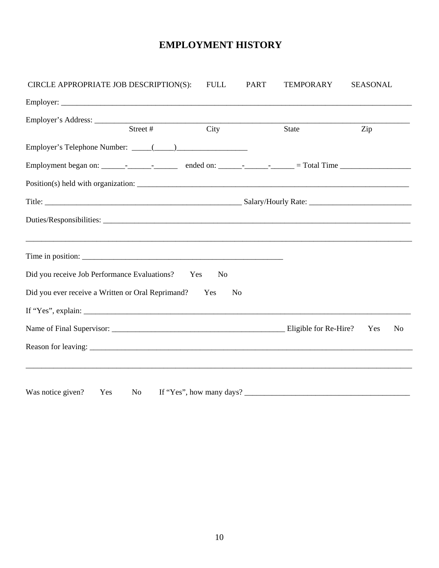| CIRCLE APPROPRIATE JOB DESCRIPTION(S):                | <b>FULL</b>        | <b>PART</b>    | <b>TEMPORARY</b>         | <b>SEASONAL</b> |                |
|-------------------------------------------------------|--------------------|----------------|--------------------------|-----------------|----------------|
|                                                       |                    |                |                          |                 |                |
|                                                       |                    |                |                          |                 |                |
| Street #                                              | $\overline{C}$ ity |                | <b>State</b>             | Zip             |                |
|                                                       |                    |                |                          |                 |                |
|                                                       |                    |                |                          |                 |                |
|                                                       |                    |                |                          |                 |                |
|                                                       |                    |                |                          |                 |                |
|                                                       |                    |                |                          |                 |                |
|                                                       |                    |                |                          |                 |                |
|                                                       |                    |                |                          |                 |                |
| Did you receive Job Performance Evaluations? Yes      | N <sub>o</sub>     |                |                          |                 |                |
| Did you ever receive a Written or Oral Reprimand? Yes |                    | N <sub>o</sub> |                          |                 |                |
| If "Yes", explain:                                    |                    |                |                          |                 |                |
|                                                       |                    |                |                          | Yes             | N <sub>o</sub> |
|                                                       |                    |                |                          |                 |                |
|                                                       |                    |                |                          |                 |                |
| Was notice given?<br>Yes<br>No                        |                    |                | If "Yes", how many days? |                 |                |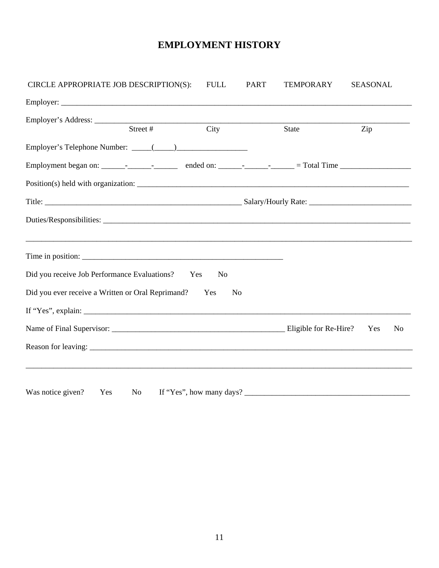| CIRCLE APPROPRIATE JOB DESCRIPTION(S):                | <b>FULL</b>    | <b>PART</b> | <b>TEMPORARY</b>            | <b>SEASONAL</b> |                |
|-------------------------------------------------------|----------------|-------------|-----------------------------|-----------------|----------------|
|                                                       |                |             |                             |                 |                |
|                                                       |                |             |                             |                 |                |
| Street #                                              | City           |             | State                       | Zip             |                |
|                                                       |                |             |                             |                 |                |
|                                                       |                |             |                             |                 |                |
|                                                       |                |             |                             |                 |                |
|                                                       |                |             |                             |                 |                |
|                                                       |                |             |                             |                 |                |
|                                                       |                |             |                             |                 |                |
|                                                       |                |             |                             |                 |                |
| Did you receive Job Performance Evaluations? Yes      | N <sub>o</sub> |             |                             |                 |                |
| Did you ever receive a Written or Oral Reprimand? Yes | N <sub>o</sub> |             |                             |                 |                |
| If "Yes", explain:                                    |                |             |                             |                 |                |
|                                                       |                |             |                             | Yes             | N <sub>o</sub> |
|                                                       |                |             |                             |                 |                |
|                                                       |                |             |                             |                 |                |
|                                                       |                |             |                             |                 |                |
| Was notice given?<br>Yes                              |                |             | No If "Yes", how many days? |                 |                |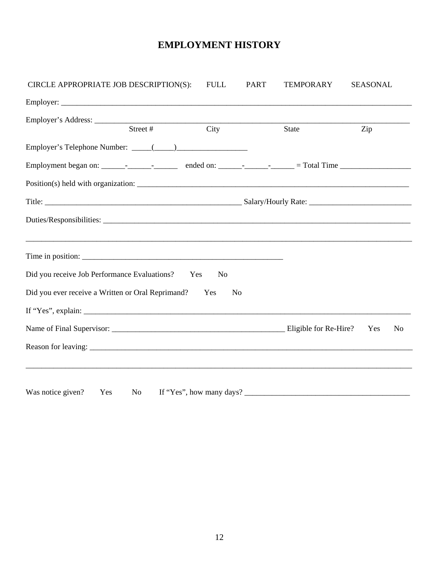| CIRCLE APPROPRIATE JOB DESCRIPTION(S):                | <b>FULL</b>    | <b>PART</b> | <b>TEMPORARY</b>            | <b>SEASONAL</b> |                |
|-------------------------------------------------------|----------------|-------------|-----------------------------|-----------------|----------------|
|                                                       |                |             |                             |                 |                |
|                                                       |                |             |                             |                 |                |
| Street #                                              | City           |             | State                       | Zip             |                |
|                                                       |                |             |                             |                 |                |
|                                                       |                |             |                             |                 |                |
|                                                       |                |             |                             |                 |                |
|                                                       |                |             |                             |                 |                |
|                                                       |                |             |                             |                 |                |
|                                                       |                |             |                             |                 |                |
|                                                       |                |             |                             |                 |                |
| Did you receive Job Performance Evaluations? Yes      | N <sub>o</sub> |             |                             |                 |                |
| Did you ever receive a Written or Oral Reprimand? Yes | N <sub>o</sub> |             |                             |                 |                |
| If "Yes", explain:                                    |                |             |                             |                 |                |
|                                                       |                |             |                             | Yes             | N <sub>o</sub> |
|                                                       |                |             |                             |                 |                |
|                                                       |                |             |                             |                 |                |
|                                                       |                |             |                             |                 |                |
| Was notice given?<br>Yes                              |                |             | No If "Yes", how many days? |                 |                |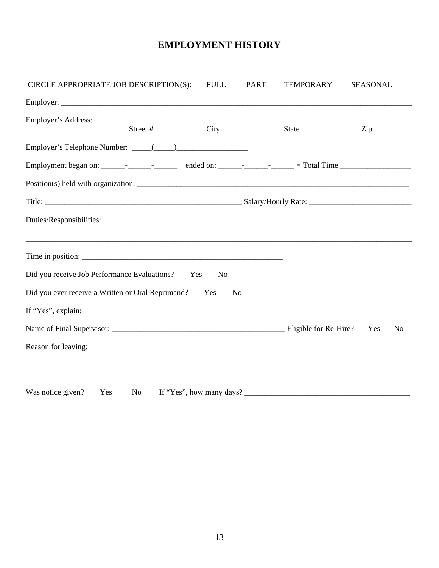| CIRCLE APPROPRIATE JOB DESCRIPTION(S):                | <b>FULL</b>    | <b>PART</b> | <b>TEMPORARY</b>         | <b>SEASONAL</b> |                |
|-------------------------------------------------------|----------------|-------------|--------------------------|-----------------|----------------|
|                                                       |                |             |                          |                 |                |
|                                                       |                |             |                          |                 |                |
| Street #                                              | City           |             | State                    | Zip             |                |
|                                                       |                |             |                          |                 |                |
|                                                       |                |             |                          |                 |                |
|                                                       |                |             |                          |                 |                |
|                                                       |                |             |                          |                 |                |
|                                                       |                |             |                          |                 |                |
|                                                       |                |             |                          |                 |                |
| Time in position:                                     |                |             |                          |                 |                |
| Did you receive Job Performance Evaluations? Yes      | N <sub>0</sub> |             |                          |                 |                |
| Did you ever receive a Written or Oral Reprimand? Yes | N <sub>0</sub> |             |                          |                 |                |
| If "Yes", explain: $\qquad \qquad$                    |                |             |                          |                 |                |
|                                                       |                |             |                          | Yes             | N <sub>o</sub> |
|                                                       |                |             |                          |                 |                |
|                                                       |                |             |                          |                 |                |
| Was notice given?<br>Yes<br>No                        |                |             | If "Yes", how many days? |                 |                |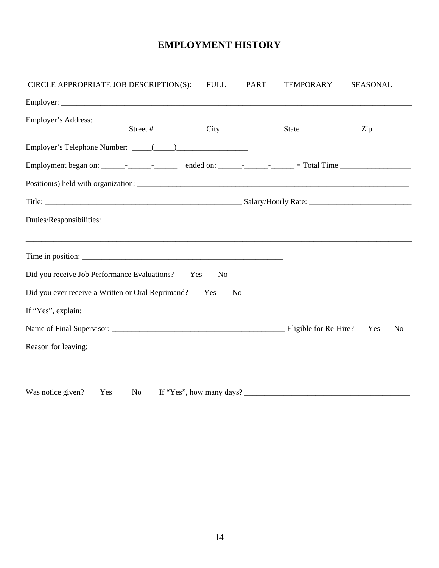| CIRCLE APPROPRIATE JOB DESCRIPTION(S):                | <b>FULL</b>    | <b>PART</b> | <b>TEMPORARY</b>         | <b>SEASONAL</b> |                |
|-------------------------------------------------------|----------------|-------------|--------------------------|-----------------|----------------|
|                                                       |                |             |                          |                 |                |
|                                                       |                |             |                          |                 |                |
| Street #                                              | City           |             | State                    | Zip             |                |
|                                                       |                |             |                          |                 |                |
|                                                       |                |             |                          |                 |                |
|                                                       |                |             |                          |                 |                |
|                                                       |                |             |                          |                 |                |
|                                                       |                |             |                          |                 |                |
|                                                       |                |             |                          |                 |                |
| Time in position:                                     |                |             |                          |                 |                |
| Did you receive Job Performance Evaluations? Yes      | N <sub>0</sub> |             |                          |                 |                |
| Did you ever receive a Written or Oral Reprimand? Yes | N <sub>0</sub> |             |                          |                 |                |
| If "Yes", explain: $\qquad \qquad$                    |                |             |                          |                 |                |
|                                                       |                |             |                          | Yes             | N <sub>o</sub> |
|                                                       |                |             |                          |                 |                |
|                                                       |                |             |                          |                 |                |
| Was notice given?<br>Yes<br>No                        |                |             | If "Yes", how many days? |                 |                |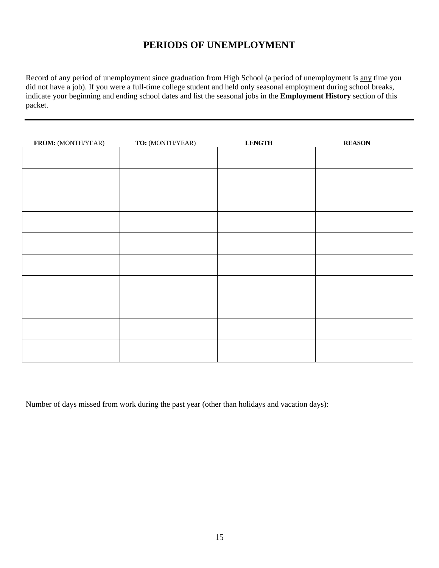# **PERIODS OF UNEMPLOYMENT**

Record of any period of unemployment since graduation from High School (a period of unemployment is any time you did not have a job). If you were a full-time college student and held only seasonal employment during school breaks, indicate your beginning and ending school dates and list the seasonal jobs in the **Employment History** section of this packet.

| FROM: (MONTH/YEAR) | TO: (MONTH/YEAR) | <b>LENGTH</b> | <b>REASON</b> |
|--------------------|------------------|---------------|---------------|
|                    |                  |               |               |
|                    |                  |               |               |
|                    |                  |               |               |
|                    |                  |               |               |
|                    |                  |               |               |
|                    |                  |               |               |
|                    |                  |               |               |
|                    |                  |               |               |
|                    |                  |               |               |
|                    |                  |               |               |
|                    |                  |               |               |
|                    |                  |               |               |
|                    |                  |               |               |
|                    |                  |               |               |
|                    |                  |               |               |
|                    |                  |               |               |
|                    |                  |               |               |
|                    |                  |               |               |
|                    |                  |               |               |
|                    |                  |               |               |
|                    |                  |               |               |

Number of days missed from work during the past year (other than holidays and vacation days):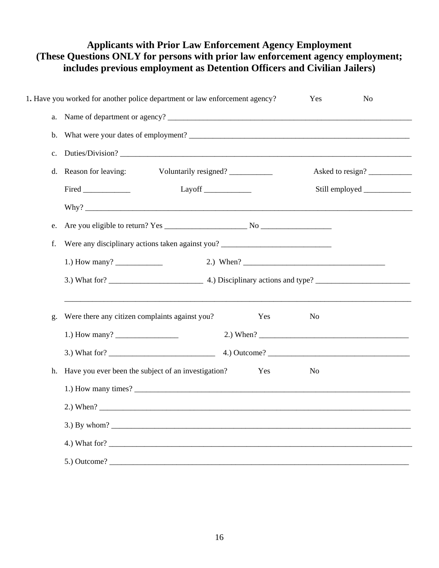### **Applicants with Prior Law Enforcement Agency Employment (These Questions ONLY for persons with prior law enforcement agency employment; includes previous employment as Detention Officers and Civilian Jailers)**

|    | 1. Have you worked for another police department or law enforcement agency?      | Yes | No                           |  |  |  |
|----|----------------------------------------------------------------------------------|-----|------------------------------|--|--|--|
|    |                                                                                  |     |                              |  |  |  |
|    |                                                                                  |     |                              |  |  |  |
| c. |                                                                                  |     |                              |  |  |  |
| d. | Reason for leaving:<br>Voluntarily resigned?                                     |     | Asked to resign?             |  |  |  |
|    |                                                                                  |     | Still employed _____________ |  |  |  |
|    |                                                                                  |     |                              |  |  |  |
| e. |                                                                                  |     |                              |  |  |  |
| f. | Were any disciplinary actions taken against you? _______________________________ |     |                              |  |  |  |
|    |                                                                                  |     |                              |  |  |  |
|    |                                                                                  |     |                              |  |  |  |
| g. | Were there any citizen complaints against you?<br>Yes                            | No  |                              |  |  |  |
|    |                                                                                  |     |                              |  |  |  |
|    |                                                                                  |     |                              |  |  |  |
|    | h. Have you ever been the subject of an investigation?<br>Yes                    | No  |                              |  |  |  |
|    |                                                                                  |     |                              |  |  |  |
|    | 2.) When $?$                                                                     |     |                              |  |  |  |
|    |                                                                                  |     |                              |  |  |  |
|    |                                                                                  |     |                              |  |  |  |
|    | $5.)$ Outcome?                                                                   |     |                              |  |  |  |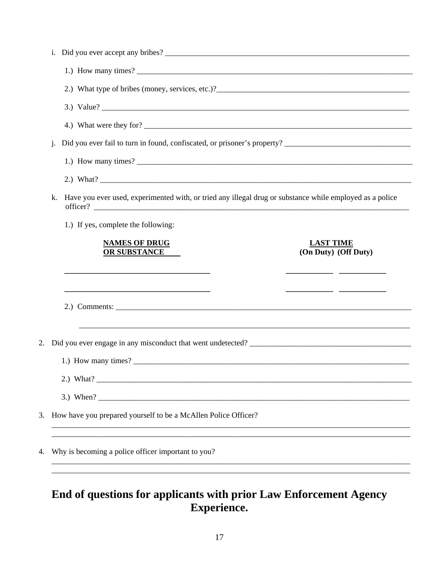|    | j. |                                                                                                          |
|----|----|----------------------------------------------------------------------------------------------------------|
|    |    |                                                                                                          |
|    |    |                                                                                                          |
|    | k. | Have you ever used, experimented with, or tried any illegal drug or substance while employed as a police |
|    |    | 1.) If yes, complete the following:                                                                      |
|    |    | <b>NAMES OF DRUG</b><br><b>LAST TIME</b><br><b>OR SUBSTANCE</b><br>(On Duty) (Off Duty)                  |
|    |    |                                                                                                          |
|    |    |                                                                                                          |
| 2. |    |                                                                                                          |
|    |    |                                                                                                          |
|    |    |                                                                                                          |
|    |    |                                                                                                          |
| 3. |    | How have you prepared yourself to be a McAllen Police Officer?                                           |
| 4. |    | Why is becoming a police officer important to you?                                                       |
|    |    |                                                                                                          |

# End of questions for applicants with prior Law Enforcement Agency Experience.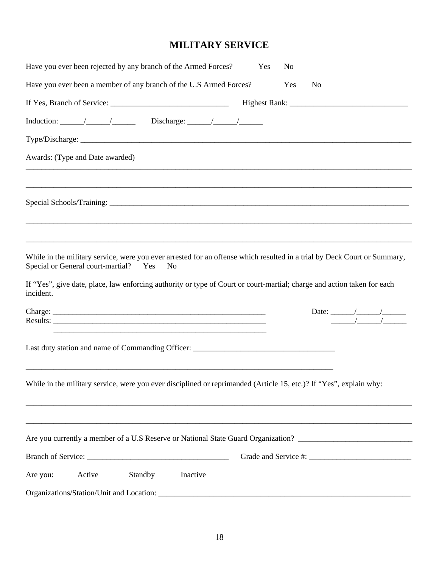# **MILITARY SERVICE**

|           |                                       |         | Have you ever been rejected by any branch of the Armed Forces?                                                          | Yes | N <sub>0</sub> |                |                                                                                                                          |
|-----------|---------------------------------------|---------|-------------------------------------------------------------------------------------------------------------------------|-----|----------------|----------------|--------------------------------------------------------------------------------------------------------------------------|
|           |                                       |         | Have you ever been a member of any branch of the U.S Armed Forces?                                                      |     | Yes            | N <sub>o</sub> |                                                                                                                          |
|           |                                       |         |                                                                                                                         |     |                |                |                                                                                                                          |
|           |                                       |         |                                                                                                                         |     |                |                |                                                                                                                          |
|           |                                       |         |                                                                                                                         |     |                |                |                                                                                                                          |
|           | Awards: (Type and Date awarded)       |         |                                                                                                                         |     |                |                |                                                                                                                          |
|           |                                       |         |                                                                                                                         |     |                |                | ,我们也不能会在这里的,我们也不能会在这里,我们也不能会在这里,我们也不能会在这里,我们也不能会在这里,我们也不能会在这里,我们也不能会在这里,我们也不能会在这里                                        |
|           |                                       |         |                                                                                                                         |     |                |                |                                                                                                                          |
|           |                                       |         |                                                                                                                         |     |                |                |                                                                                                                          |
|           | Special or General court-martial? Yes |         | N <sub>o</sub>                                                                                                          |     |                |                | While in the military service, were you ever arrested for an offense which resulted in a trial by Deck Court or Summary, |
| incident. |                                       |         | If "Yes", give date, place, law enforcing authority or type of Court or court-martial; charge and action taken for each |     |                |                |                                                                                                                          |
|           |                                       |         | <u> 1989 - Johann Harry Harry Harry Harry Harry Harry Harry Harry Harry Harry Harry Harry Harry Harry Harry Harry</u>   |     |                |                |                                                                                                                          |
|           |                                       |         | Last duty station and name of Commanding Officer: _______________________________                                       |     |                |                |                                                                                                                          |
|           |                                       |         | While in the military service, were you ever disciplined or reprimanded (Article 15, etc.)? If "Yes", explain why:      |     |                |                |                                                                                                                          |
|           |                                       |         |                                                                                                                         |     |                |                | Are you currently a member of a U.S Reserve or National State Guard Organization? ____________________________           |
|           |                                       |         |                                                                                                                         |     |                |                |                                                                                                                          |
| Are you:  | Active                                | Standby | Inactive                                                                                                                |     |                |                |                                                                                                                          |
|           |                                       |         |                                                                                                                         |     |                |                |                                                                                                                          |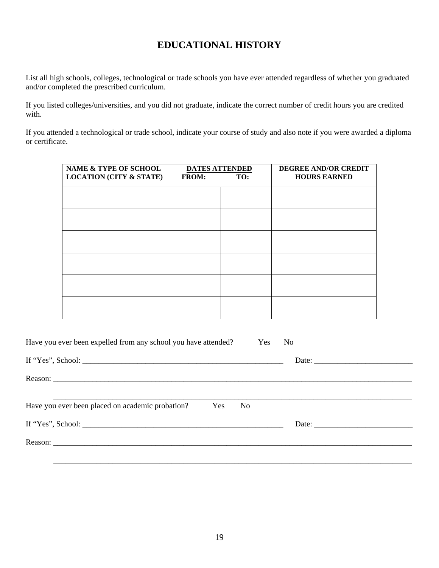## **EDUCATIONAL HISTORY**

List all high schools, colleges, technological or trade schools you have ever attended regardless of whether you graduated and/or completed the prescribed curriculum.

If you listed colleges/universities, and you did not graduate, indicate the correct number of credit hours you are credited with.

If you attended a technological or trade school, indicate your course of study and also note if you were awarded a diploma or certificate.

| <b>NAME &amp; TYPE OF SCHOOL</b><br><b>LOCATION (CITY &amp; STATE)</b> | <b>DATES ATTENDED</b><br><b>FROM:</b> | TO: | <b>DEGREE AND/OR CREDIT</b><br><b>HOURS EARNED</b> |
|------------------------------------------------------------------------|---------------------------------------|-----|----------------------------------------------------|
|                                                                        |                                       |     |                                                    |
|                                                                        |                                       |     |                                                    |
|                                                                        |                                       |     |                                                    |
|                                                                        |                                       |     |                                                    |
|                                                                        |                                       |     |                                                    |
|                                                                        |                                       |     |                                                    |

| Have you ever been expelled from any school you have attended?<br>Yes No |  |
|--------------------------------------------------------------------------|--|
|                                                                          |  |
|                                                                          |  |
| Have you ever been placed on academic probation?<br>Yes No               |  |
|                                                                          |  |
|                                                                          |  |
|                                                                          |  |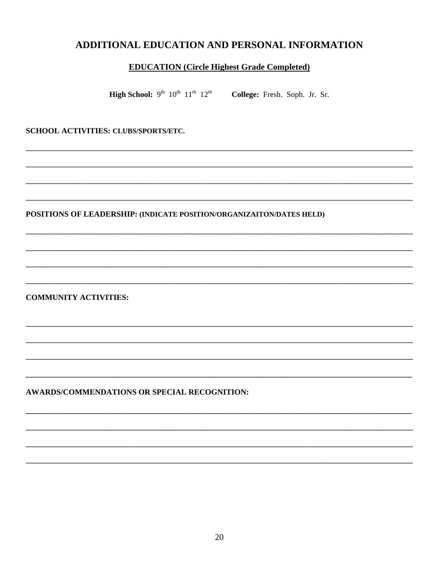### ADDITIONAL EDUCATION AND PERSONAL INFORMATION

#### **EDUCATION** (Circle Highest Grade Completed)

**High School:**  $9^{th}$   $10^{th}$   $11^{th}$   $12^{th}$ College: Fresh. Soph. Jr. Sr.

SCHOOL ACTIVITIES: CLUBS/SPORTS/ETC.

POSITIONS OF LEADERSHIP: (INDICATE POSITION/ORGANIZAITON/DATES HELD)

**COMMUNITY ACTIVITIES:** 

AWARDS/COMMENDATIONS OR SPECIAL RECOGNITION: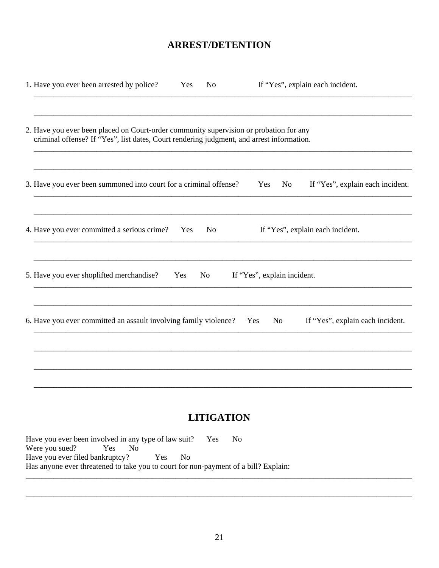### **ARREST/DETENTION**

| 1. Have you ever been arrested by police?                                                                                                                                           | Yes | N <sub>o</sub> |                             | If "Yes", explain each incident. |                                  |
|-------------------------------------------------------------------------------------------------------------------------------------------------------------------------------------|-----|----------------|-----------------------------|----------------------------------|----------------------------------|
| 2. Have you ever been placed on Court-order community supervision or probation for any<br>criminal offense? If "Yes", list dates, Court rendering judgment, and arrest information. |     |                |                             |                                  |                                  |
| 3. Have you ever been summoned into court for a criminal offense?                                                                                                                   |     |                | Yes                         | No                               | If "Yes", explain each incident. |
| 4. Have you ever committed a serious crime?                                                                                                                                         | Yes | N <sub>0</sub> |                             | If "Yes", explain each incident. |                                  |
| 5. Have you ever shoplifted merchandise?                                                                                                                                            | Yes | No             | If "Yes", explain incident. |                                  |                                  |
| 6. Have you ever committed an assault involving family violence? Yes                                                                                                                |     |                | No                          | If "Yes", explain each incident. |                                  |
|                                                                                                                                                                                     |     |                |                             |                                  |                                  |
|                                                                                                                                                                                     |     |                |                             |                                  |                                  |

# **LITIGATION**

Have you ever been involved in any type of law suit? Yes  $No$ Were you sued? Yes  $\overline{N_{0}}$ Have you ever filed bankruptcy? Yes  $No$ Has anyone ever threatened to take you to court for non-payment of a bill? Explain: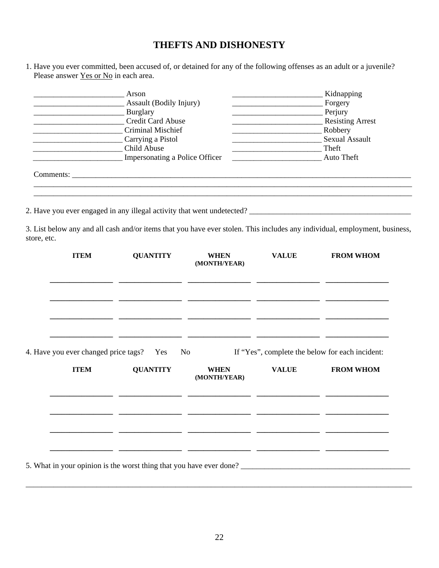# **THEFTS AND DISHONESTY**

1. Have you ever committed, been accused of, or detained for any of the following offenses as an adult or a juvenile? Please answer <u>Yes or No</u> in each area.

| Burglary<br>the contract of the contract of the contract of the contract of the contract of | Arson<br>Assault (Bodily Injury)<br><b>Credit Card Abuse</b><br>Criminal Mischief<br>Carrying a Pistol<br>Child Abuse<br>Impersonating a Police Officer | Perjury                                                                                   | Kidnapping<br>Forgery<br>Resisting Arrest<br>Robbery<br><b>Sexual Assault</b><br>Theft<br>Auto Theft |                                                                                                                            |
|---------------------------------------------------------------------------------------------|---------------------------------------------------------------------------------------------------------------------------------------------------------|-------------------------------------------------------------------------------------------|------------------------------------------------------------------------------------------------------|----------------------------------------------------------------------------------------------------------------------------|
|                                                                                             |                                                                                                                                                         |                                                                                           |                                                                                                      |                                                                                                                            |
|                                                                                             |                                                                                                                                                         |                                                                                           |                                                                                                      | 3. List below any and all cash and/or items that you have ever stolen. This includes any individual, employment, business, |
| store, etc.                                                                                 |                                                                                                                                                         |                                                                                           |                                                                                                      |                                                                                                                            |
| <b>ITEM</b>                                                                                 | <b>QUANTITY</b>                                                                                                                                         | <b>WHEN</b><br>(MONTH/YEAR)<br><u> 1990 - Jan James James, martin amerikan (h. 1980).</u> | <b>VALUE</b>                                                                                         | <b>FROM WHOM</b>                                                                                                           |
|                                                                                             |                                                                                                                                                         |                                                                                           |                                                                                                      |                                                                                                                            |
| 4. Have you ever changed price tags?                                                        | Yes                                                                                                                                                     | N <sub>o</sub>                                                                            |                                                                                                      | If "Yes", complete the below for each incident:                                                                            |
| <b>ITEM</b>                                                                                 | <b>QUANTITY</b>                                                                                                                                         | <b>WHEN</b><br>(MONTH/YEAR)                                                               | <b>VALUE</b>                                                                                         | <b>FROM WHOM</b>                                                                                                           |
|                                                                                             |                                                                                                                                                         |                                                                                           |                                                                                                      |                                                                                                                            |
|                                                                                             |                                                                                                                                                         |                                                                                           |                                                                                                      |                                                                                                                            |
|                                                                                             |                                                                                                                                                         |                                                                                           |                                                                                                      |                                                                                                                            |

\_\_\_\_\_\_\_\_\_\_\_\_\_\_\_\_\_\_\_\_\_\_\_\_\_\_\_\_\_\_\_\_\_\_\_\_\_\_\_\_\_\_\_\_\_\_\_\_\_\_\_\_\_\_\_\_\_\_\_\_\_\_\_\_\_\_\_\_\_\_\_\_\_\_\_\_\_\_\_\_\_\_\_\_\_\_\_\_\_\_\_\_\_\_\_\_\_\_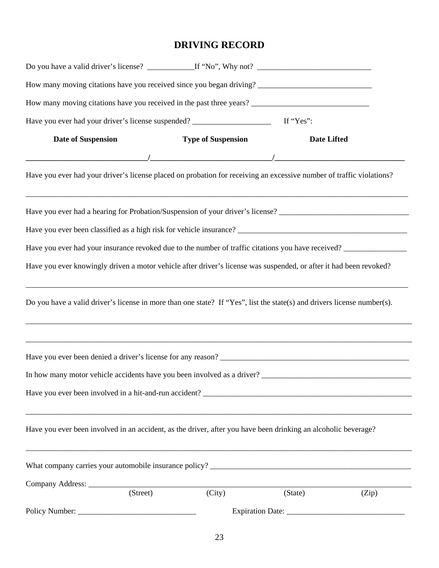# **DRIVING RECORD**

| Have you ever had your driver's license suspended? ______________________________ If "Yes":                             |                           |                    |       |
|-------------------------------------------------------------------------------------------------------------------------|---------------------------|--------------------|-------|
| <b>Date of Suspension</b>                                                                                               | <b>Type of Suspension</b> | <b>Date Lifted</b> |       |
|                                                                                                                         |                           |                    |       |
| Have you ever had your driver's license placed on probation for receiving an excessive number of traffic violations?    |                           |                    |       |
| Have you ever had a hearing for Probation/Suspension of your driver's license? _______________________________          |                           |                    |       |
|                                                                                                                         |                           |                    |       |
| Have you ever had your insurance revoked due to the number of traffic citations you have received?                      |                           |                    |       |
| Have you ever knowingly driven a motor vehicle after driver's license was suspended, or after it had been revoked?      |                           |                    |       |
| Do you have a valid driver's license in more than one state? If "Yes", list the state(s) and drivers license number(s). |                           |                    |       |
| ,我们也不能在这里的,我们也不能在这里的,我们也不能不能不能不能不能不能不能不能不能不能不能不能。""我们的人们也不能不能不能不能不能不能不能不能不能不能不能不能                                       |                           |                    |       |
|                                                                                                                         |                           |                    |       |
|                                                                                                                         |                           |                    |       |
| Have you ever been involved in an accident, as the driver, after you have been drinking an alcoholic beverage?          |                           |                    |       |
|                                                                                                                         |                           |                    |       |
|                                                                                                                         |                           |                    |       |
| $\overline{\text{(Street)}}$                                                                                            | $\overline{(City)}$       | (State)            | (Zip) |
|                                                                                                                         |                           |                    |       |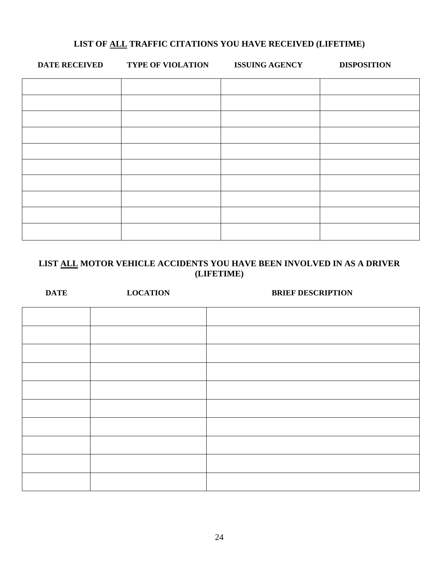#### **LIST OF ALL TRAFFIC CITATIONS YOU HAVE RECEIVED (LIFETIME)**

| <b>DATE RECEIVED</b> | <b>TYPE OF VIOLATION</b> | <b>ISSUING AGENCY</b> | <b>DISPOSITION</b> |
|----------------------|--------------------------|-----------------------|--------------------|
|                      |                          |                       |                    |
|                      |                          |                       |                    |
|                      |                          |                       |                    |
|                      |                          |                       |                    |
|                      |                          |                       |                    |
|                      |                          |                       |                    |
|                      |                          |                       |                    |
|                      |                          |                       |                    |
|                      |                          |                       |                    |
|                      |                          |                       |                    |

#### **LIST ALL MOTOR VEHICLE ACCIDENTS YOU HAVE BEEN INVOLVED IN AS A DRIVER (LIFETIME)**

| <b>DATE</b> | <b>LOCATION</b> | <b>BRIEF DESCRIPTION</b> |
|-------------|-----------------|--------------------------|
|             |                 |                          |
|             |                 |                          |
|             |                 |                          |
|             |                 |                          |
|             |                 |                          |
|             |                 |                          |
|             |                 |                          |
|             |                 |                          |
|             |                 |                          |
|             |                 |                          |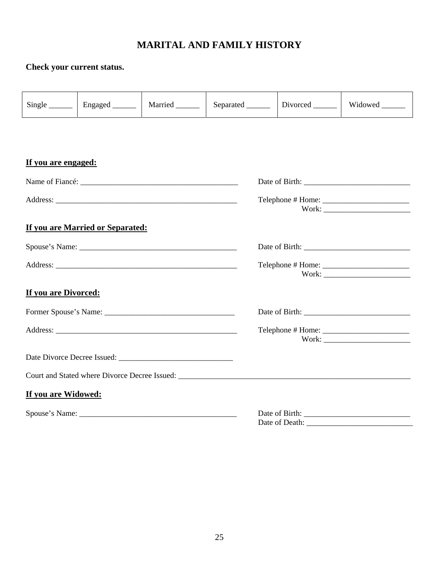# **MARITAL AND FAMILY HISTORY**

## **Check your current status.**

|                      |                                  |  |  |                        | Widowed ______ |  |  |
|----------------------|----------------------------------|--|--|------------------------|----------------|--|--|
|                      |                                  |  |  |                        |                |  |  |
| If you are engaged:  |                                  |  |  |                        |                |  |  |
|                      |                                  |  |  |                        |                |  |  |
|                      |                                  |  |  | $Telephone # Home: \_$ |                |  |  |
|                      | If you are Married or Separated: |  |  |                        |                |  |  |
|                      |                                  |  |  |                        |                |  |  |
|                      |                                  |  |  |                        |                |  |  |
| If you are Divorced: |                                  |  |  |                        |                |  |  |
|                      |                                  |  |  |                        |                |  |  |
|                      |                                  |  |  |                        |                |  |  |
|                      |                                  |  |  |                        |                |  |  |
|                      |                                  |  |  |                        |                |  |  |
| If you are Widowed:  |                                  |  |  |                        |                |  |  |
|                      |                                  |  |  | Date of Death:         |                |  |  |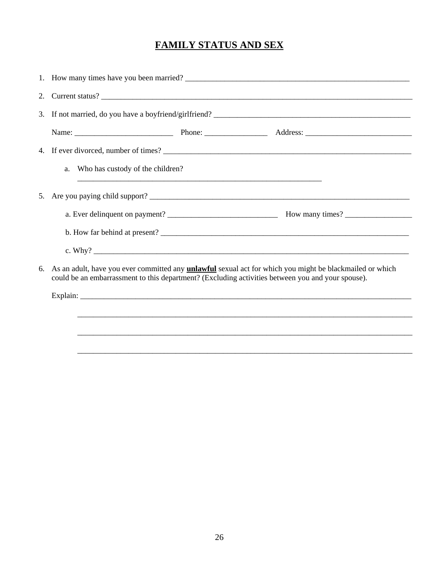# **FAMILY STATUS AND SEX**

| 1. How many times have you been married?                                                                                                                                                                                |  |  |  |  |  |  |
|-------------------------------------------------------------------------------------------------------------------------------------------------------------------------------------------------------------------------|--|--|--|--|--|--|
| 2. Current status?                                                                                                                                                                                                      |  |  |  |  |  |  |
|                                                                                                                                                                                                                         |  |  |  |  |  |  |
|                                                                                                                                                                                                                         |  |  |  |  |  |  |
|                                                                                                                                                                                                                         |  |  |  |  |  |  |
| a. Who has custody of the children?                                                                                                                                                                                     |  |  |  |  |  |  |
|                                                                                                                                                                                                                         |  |  |  |  |  |  |
|                                                                                                                                                                                                                         |  |  |  |  |  |  |
|                                                                                                                                                                                                                         |  |  |  |  |  |  |
|                                                                                                                                                                                                                         |  |  |  |  |  |  |
| 6. As an adult, have you ever committed any <b>unlawful</b> sexual act for which you might be blackmailed or which<br>could be an embarrassment to this department? (Excluding activities between you and your spouse). |  |  |  |  |  |  |
|                                                                                                                                                                                                                         |  |  |  |  |  |  |
|                                                                                                                                                                                                                         |  |  |  |  |  |  |
|                                                                                                                                                                                                                         |  |  |  |  |  |  |
|                                                                                                                                                                                                                         |  |  |  |  |  |  |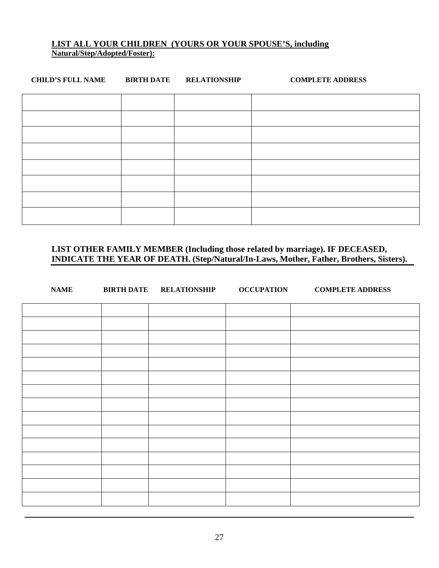#### **LIST ALL YOUR CHILDREN (YOURS OR YOUR SPOUSE'S, including Natural/Step/Adopted/Foster):**

| <b>CHILD'S FULL NAME</b> | <b>BIRTH DATE</b> | <b>RELATIONSHIP</b> | <b>COMPLETE ADDRESS</b> |
|--------------------------|-------------------|---------------------|-------------------------|
|                          |                   |                     |                         |
|                          |                   |                     |                         |
|                          |                   |                     |                         |
|                          |                   |                     |                         |
|                          |                   |                     |                         |
|                          |                   |                     |                         |
|                          |                   |                     |                         |
|                          |                   |                     |                         |

**LIST OTHER FAMILY MEMBER (Including those related by marriage). IF DECEASED, INDICATE THE YEAR OF DEATH. (Step/Natural/In-Laws, Mother, Father, Brothers, Sisters).** 

| <b>NAME</b> | <b>BIRTH DATE RELATIONSHIP</b> | <b>OCCUPATION</b> | <b>COMPLETE ADDRESS</b> |
|-------------|--------------------------------|-------------------|-------------------------|
|             |                                |                   |                         |
|             |                                |                   |                         |
|             |                                |                   |                         |
|             |                                |                   |                         |
|             |                                |                   |                         |
|             |                                |                   |                         |
|             |                                |                   |                         |
|             |                                |                   |                         |
|             |                                |                   |                         |
|             |                                |                   |                         |
|             |                                |                   |                         |
|             |                                |                   |                         |
|             |                                |                   |                         |
|             |                                |                   |                         |
|             |                                |                   |                         |
|             |                                |                   |                         |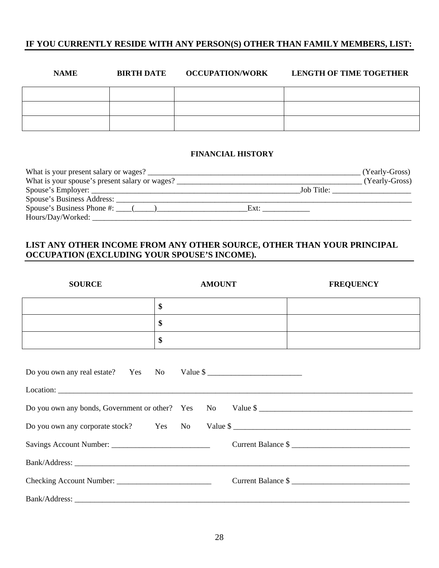#### **IF YOU CURRENTLY RESIDE WITH ANY PERSON(S) OTHER THAN FAMILY MEMBERS, LIST:**

| <b>NAME</b> | <b>BIRTH DATE</b> | <b>OCCUPATION/WORK</b> | <b>LENGTH OF TIME TOGETHER</b> |
|-------------|-------------------|------------------------|--------------------------------|
|             |                   |                        |                                |
|             |                   |                        |                                |
|             |                   |                        |                                |

#### **FINANCIAL HISTORY**

| What is your present salary or wages?                                |      |            | (Yearly-Gross) |
|----------------------------------------------------------------------|------|------------|----------------|
|                                                                      |      |            | (Yearly-Gross) |
|                                                                      |      | Job Title: |                |
|                                                                      |      |            |                |
| Spouse's Business Phone #: $\_\_\_\_\_\_\_\_\_\_\_\_\_\_\_\_\_\_\_\$ | Ext: |            |                |
| Hours/Day/Worked:                                                    |      |            |                |

#### **LIST ANY OTHER INCOME FROM ANY OTHER SOURCE, OTHER THAN YOUR PRINCIPAL OCCUPATION (EXCLUDING YOUR SPOUSE'S INCOME).**

| <b>SOURCE</b>                               |    | <b>AMOUNT</b> | <b>FREQUENCY</b>                                           |
|---------------------------------------------|----|---------------|------------------------------------------------------------|
|                                             | \$ |               |                                                            |
|                                             | \$ |               |                                                            |
|                                             | \$ |               |                                                            |
| Do you own any real estate? Yes No Value \$ |    |               | Do you own any bonds, Government or other? Yes No Value \$ |
|                                             |    |               | Do you own any corporate stock? Yes No Value \$            |
|                                             |    |               | Current Balance \$                                         |
|                                             |    |               |                                                            |
|                                             |    |               | Current Balance \$                                         |
|                                             |    |               |                                                            |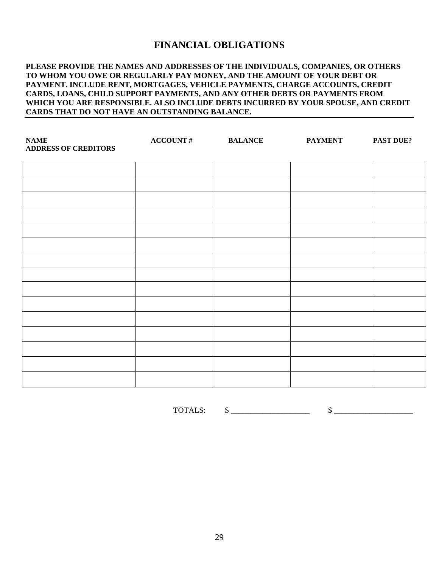### **FINANCIAL OBLIGATIONS**

#### **PLEASE PROVIDE THE NAMES AND ADDRESSES OF THE INDIVIDUALS, COMPANIES, OR OTHERS TO WHOM YOU OWE OR REGULARLY PAY MONEY, AND THE AMOUNT OF YOUR DEBT OR PAYMENT. INCLUDE RENT, MORTGAGES, VEHICLE PAYMENTS, CHARGE ACCOUNTS, CREDIT CARDS, LOANS, CHILD SUPPORT PAYMENTS, AND ANY OTHER DEBTS OR PAYMENTS FROM WHICH YOU ARE RESPONSIBLE. ALSO INCLUDE DEBTS INCURRED BY YOUR SPOUSE, AND CREDIT CARDS THAT DO NOT HAVE AN OUTSTANDING BALANCE.**

| $\mathbf{NAME}$<br><b>ADDRESS OF CREDITORS</b> | <b>ACCOUNT#</b> | <b>BALANCE</b> | <b>PAYMENT</b> | <b>PAST DUE?</b> |
|------------------------------------------------|-----------------|----------------|----------------|------------------|
|                                                |                 |                |                |                  |
|                                                |                 |                |                |                  |
|                                                |                 |                |                |                  |
|                                                |                 |                |                |                  |
|                                                |                 |                |                |                  |
|                                                |                 |                |                |                  |
|                                                |                 |                |                |                  |
|                                                |                 |                |                |                  |
|                                                |                 |                |                |                  |
|                                                |                 |                |                |                  |
|                                                |                 |                |                |                  |
|                                                |                 |                |                |                  |
|                                                |                 |                |                |                  |
|                                                |                 |                |                |                  |
|                                                |                 |                |                |                  |

TOTALS:  $\qquad \qquad \$$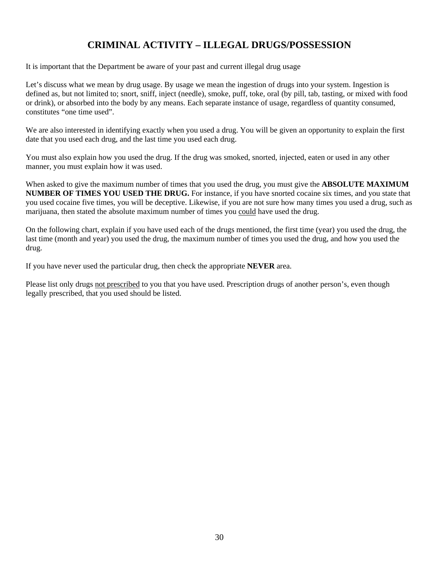# **CRIMINAL ACTIVITY – ILLEGAL DRUGS/POSSESSION**

It is important that the Department be aware of your past and current illegal drug usage

Let's discuss what we mean by drug usage. By usage we mean the ingestion of drugs into your system. Ingestion is defined as, but not limited to; snort, sniff, inject (needle), smoke, puff, toke, oral (by pill, tab, tasting, or mixed with food or drink), or absorbed into the body by any means. Each separate instance of usage, regardless of quantity consumed, constitutes "one time used".

We are also interested in identifying exactly when you used a drug. You will be given an opportunity to explain the first date that you used each drug, and the last time you used each drug.

You must also explain how you used the drug. If the drug was smoked, snorted, injected, eaten or used in any other manner, you must explain how it was used.

When asked to give the maximum number of times that you used the drug, you must give the **ABSOLUTE MAXIMUM NUMBER OF TIMES YOU USED THE DRUG.** For instance, if you have snorted cocaine six times, and you state that you used cocaine five times, you will be deceptive. Likewise, if you are not sure how many times you used a drug, such as marijuana, then stated the absolute maximum number of times you could have used the drug.

On the following chart, explain if you have used each of the drugs mentioned, the first time (year) you used the drug, the last time (month and year) you used the drug, the maximum number of times you used the drug, and how you used the drug.

If you have never used the particular drug, then check the appropriate **NEVER** area.

Please list only drugs not prescribed to you that you have used. Prescription drugs of another person's, even though legally prescribed, that you used should be listed.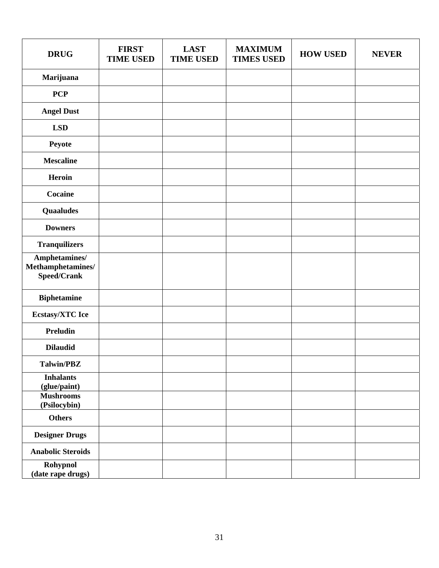| <b>DRUG</b>                                          | <b>FIRST</b><br><b>TIME USED</b> | <b>LAST</b><br><b>TIME USED</b> | <b>MAXIMUM</b><br><b>TIMES USED</b> | <b>HOW USED</b> | <b>NEVER</b> |
|------------------------------------------------------|----------------------------------|---------------------------------|-------------------------------------|-----------------|--------------|
| Marijuana                                            |                                  |                                 |                                     |                 |              |
| <b>PCP</b>                                           |                                  |                                 |                                     |                 |              |
| <b>Angel Dust</b>                                    |                                  |                                 |                                     |                 |              |
| <b>LSD</b>                                           |                                  |                                 |                                     |                 |              |
| Peyote                                               |                                  |                                 |                                     |                 |              |
| <b>Mescaline</b>                                     |                                  |                                 |                                     |                 |              |
| Heroin                                               |                                  |                                 |                                     |                 |              |
| Cocaine                                              |                                  |                                 |                                     |                 |              |
| <b>Quaaludes</b>                                     |                                  |                                 |                                     |                 |              |
| <b>Downers</b>                                       |                                  |                                 |                                     |                 |              |
| <b>Tranquilizers</b>                                 |                                  |                                 |                                     |                 |              |
| Amphetamines/<br>$\bf Methods$<br><b>Speed/Crank</b> |                                  |                                 |                                     |                 |              |
| <b>Biphetamine</b>                                   |                                  |                                 |                                     |                 |              |
| <b>Ecstasy/XTC</b> Ice                               |                                  |                                 |                                     |                 |              |
| <b>Preludin</b>                                      |                                  |                                 |                                     |                 |              |
| <b>Dilaudid</b>                                      |                                  |                                 |                                     |                 |              |
| <b>Talwin/PBZ</b>                                    |                                  |                                 |                                     |                 |              |
| <b>Inhalants</b><br>(glue/paint)                     |                                  |                                 |                                     |                 |              |
| <b>Mushrooms</b><br>(Psilocybin)                     |                                  |                                 |                                     |                 |              |
| <b>Others</b>                                        |                                  |                                 |                                     |                 |              |
| <b>Designer Drugs</b>                                |                                  |                                 |                                     |                 |              |
| <b>Anabolic Steroids</b>                             |                                  |                                 |                                     |                 |              |
| Rohypnol<br>(date rape drugs)                        |                                  |                                 |                                     |                 |              |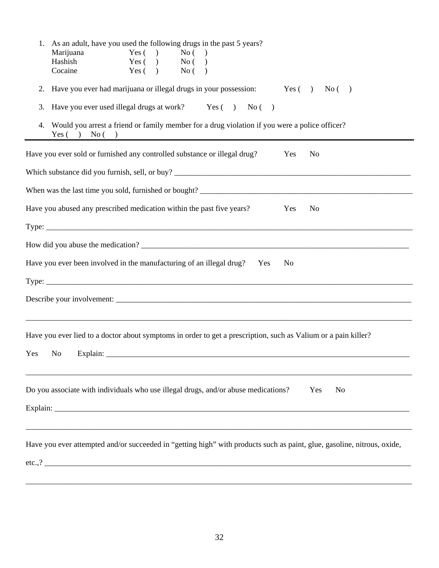| 1. As an adult, have you used the following drugs in the past 5 years?<br>Marijuana<br>Yes $( )$<br>No( )<br>Hashish<br>Yes $($ $)$<br>No( )<br>Cocaine<br>Yes $( )$<br>No( ) |  |  |  |  |  |  |  |  |
|-------------------------------------------------------------------------------------------------------------------------------------------------------------------------------|--|--|--|--|--|--|--|--|
| Have you ever had marijuana or illegal drugs in your possession: Yes () No ()<br>2.<br>Have you ever used illegal drugs at work? Yes () No ()<br>3.                           |  |  |  |  |  |  |  |  |
|                                                                                                                                                                               |  |  |  |  |  |  |  |  |
| Have you ever sold or furnished any controlled substance or illegal drug?<br>Yes<br>N <sub>0</sub>                                                                            |  |  |  |  |  |  |  |  |
|                                                                                                                                                                               |  |  |  |  |  |  |  |  |
|                                                                                                                                                                               |  |  |  |  |  |  |  |  |
| Have you abused any prescribed medication within the past five years?<br>Yes<br>N <sub>o</sub>                                                                                |  |  |  |  |  |  |  |  |
|                                                                                                                                                                               |  |  |  |  |  |  |  |  |
|                                                                                                                                                                               |  |  |  |  |  |  |  |  |
| Have you ever been involved in the manufacturing of an illegal drug?<br>Yes<br>No                                                                                             |  |  |  |  |  |  |  |  |
|                                                                                                                                                                               |  |  |  |  |  |  |  |  |
|                                                                                                                                                                               |  |  |  |  |  |  |  |  |
| Have you ever lied to a doctor about symptoms in order to get a prescription, such as Valium or a pain killer?<br>Yes<br>No                                                   |  |  |  |  |  |  |  |  |
| Do you associate with individuals who use illegal drugs, and/or abuse medications?<br>Yes<br>N <sub>o</sub>                                                                   |  |  |  |  |  |  |  |  |
| Have you ever attempted and/or succeeded in "getting high" with products such as paint, glue, gasoline, nitrous, oxide,                                                       |  |  |  |  |  |  |  |  |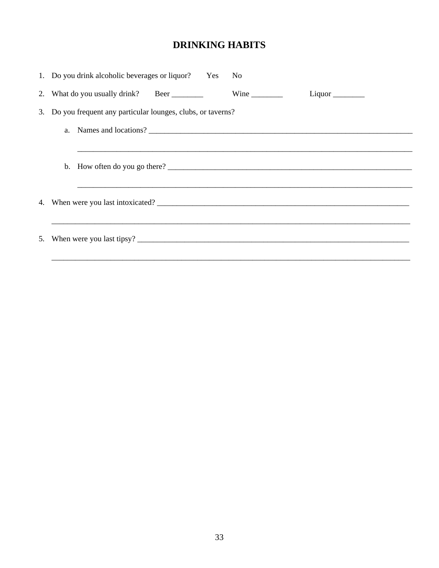# **DRINKING HABITS**

| 1. Do you drink alcoholic beverages or liquor? Yes No                                                                                                                                                                                                                                                                                                                                               |  |  |  |  |  |  |
|-----------------------------------------------------------------------------------------------------------------------------------------------------------------------------------------------------------------------------------------------------------------------------------------------------------------------------------------------------------------------------------------------------|--|--|--|--|--|--|
| 2. What do you usually drink? Beer<br>Wine $\frac{1}{\sqrt{1-\frac{1}{2}}\cdot\frac{1}{\sqrt{1-\frac{1}{2}}}}$                                                                                                                                                                                                                                                                                      |  |  |  |  |  |  |
| 3. Do you frequent any particular lounges, clubs, or taverns?                                                                                                                                                                                                                                                                                                                                       |  |  |  |  |  |  |
|                                                                                                                                                                                                                                                                                                                                                                                                     |  |  |  |  |  |  |
|                                                                                                                                                                                                                                                                                                                                                                                                     |  |  |  |  |  |  |
| b. How often do you go there? $\frac{1}{\sqrt{1-\frac{1}{2}}}\left\{ \frac{1}{2}, \frac{1}{2}, \frac{1}{2}, \frac{1}{2}, \frac{1}{2}, \frac{1}{2}, \frac{1}{2}, \frac{1}{2}, \frac{1}{2}, \frac{1}{2}, \frac{1}{2}, \frac{1}{2}, \frac{1}{2}, \frac{1}{2}, \frac{1}{2}, \frac{1}{2}, \frac{1}{2}, \frac{1}{2}, \frac{1}{2}, \frac{1}{2}, \frac{1}{2}, \frac{1}{2}, \frac{1}{2}, \frac{1}{2}, \frac$ |  |  |  |  |  |  |
|                                                                                                                                                                                                                                                                                                                                                                                                     |  |  |  |  |  |  |
|                                                                                                                                                                                                                                                                                                                                                                                                     |  |  |  |  |  |  |
|                                                                                                                                                                                                                                                                                                                                                                                                     |  |  |  |  |  |  |
|                                                                                                                                                                                                                                                                                                                                                                                                     |  |  |  |  |  |  |
|                                                                                                                                                                                                                                                                                                                                                                                                     |  |  |  |  |  |  |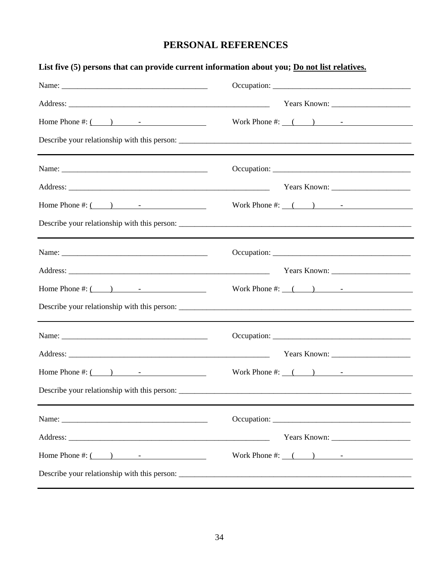# **PERSONAL REFERENCES**

| List five (5) persons that can provide current information about you; Do not list relatives.                                                                                                                                                                                                                                           |                            |
|----------------------------------------------------------------------------------------------------------------------------------------------------------------------------------------------------------------------------------------------------------------------------------------------------------------------------------------|----------------------------|
|                                                                                                                                                                                                                                                                                                                                        |                            |
|                                                                                                                                                                                                                                                                                                                                        |                            |
| Home Phone #: $\qquad \qquad$ $\qquad$ $\qquad$ $\qquad$ $\qquad$ $\qquad$ $\qquad$ $\qquad$ $\qquad$ $\qquad$ $\qquad$ $\qquad$ $\qquad$ $\qquad$ $\qquad$ $\qquad$ $\qquad$ $\qquad$ $\qquad$ $\qquad$ $\qquad$ $\qquad$ $\qquad$ $\qquad$ $\qquad$ $\qquad$ $\qquad$ $\qquad$ $\qquad$ $\qquad$ $\qquad$ $\qquad$ $\qquad$ $\qquad$ | Work Phone #: $($ $)$ $-$  |
| the control of the control of the control of the control of the control of the control of the control of the control of the control of the control of the control of the control of the control of the control of the control                                                                                                          |                            |
|                                                                                                                                                                                                                                                                                                                                        |                            |
|                                                                                                                                                                                                                                                                                                                                        |                            |
| Home Phone #: $($ $)$ $-$                                                                                                                                                                                                                                                                                                              | Work Phone #: $($ $)$ $-$  |
| the control of the control of the control of the control of the control of the control of the control of the control of the control of the control of the control of the control of the control of the control of the control                                                                                                          |                            |
|                                                                                                                                                                                                                                                                                                                                        |                            |
|                                                                                                                                                                                                                                                                                                                                        |                            |
|                                                                                                                                                                                                                                                                                                                                        | Work Phone #: $($ $)$ $ -$ |
|                                                                                                                                                                                                                                                                                                                                        |                            |
|                                                                                                                                                                                                                                                                                                                                        |                            |
|                                                                                                                                                                                                                                                                                                                                        |                            |
|                                                                                                                                                                                                                                                                                                                                        | Work Phone #: $($ $)$ $-$  |
|                                                                                                                                                                                                                                                                                                                                        |                            |
|                                                                                                                                                                                                                                                                                                                                        |                            |
|                                                                                                                                                                                                                                                                                                                                        |                            |
| Home Phone #: $($ $)$ $-$                                                                                                                                                                                                                                                                                                              | Work Phone #: $($ $)$ $-$  |
|                                                                                                                                                                                                                                                                                                                                        |                            |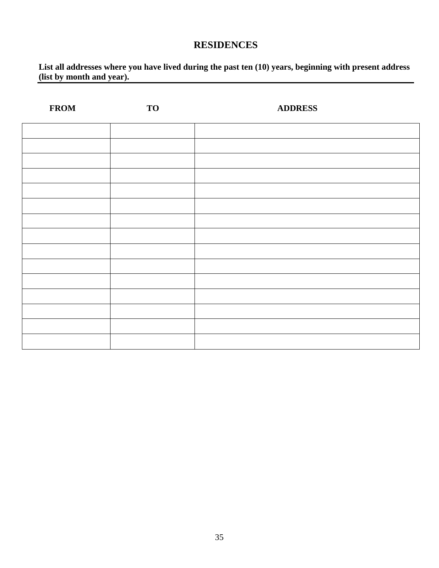## **RESIDENCES**

#### **List all addresses where you have lived during the past ten (10) years, beginning with present address (list by month and year).**

| <b>FROM</b> | <b>TO</b> | <b>ADDRESS</b> |
|-------------|-----------|----------------|
|             |           |                |
|             |           |                |
|             |           |                |
|             |           |                |
|             |           |                |
|             |           |                |
|             |           |                |
|             |           |                |
|             |           |                |
|             |           |                |
|             |           |                |
|             |           |                |
|             |           |                |
|             |           |                |
|             |           |                |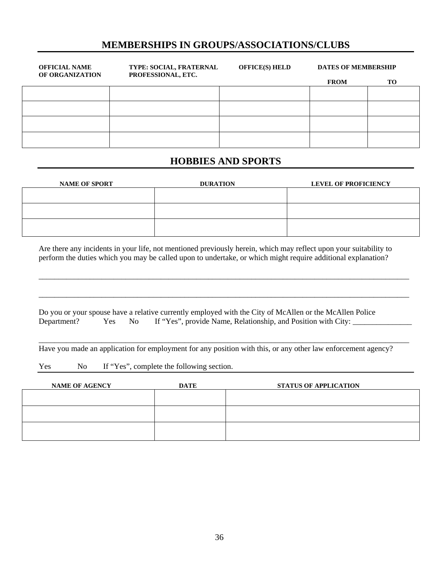### **MEMBERSHIPS IN GROUPS/ASSOCIATIONS/CLUBS**

| <b>OFFICIAL NAME</b><br>OF ORGANIZATION | <b>TYPE: SOCIAL, FRATERNAL</b><br>PROFESSIONAL, ETC. | <b>OFFICE(S) HELD</b> | <b>DATES OF MEMBERSHIP</b> |           |
|-----------------------------------------|------------------------------------------------------|-----------------------|----------------------------|-----------|
|                                         |                                                      |                       | <b>FROM</b>                | <b>TO</b> |
|                                         |                                                      |                       |                            |           |
|                                         |                                                      |                       |                            |           |
|                                         |                                                      |                       |                            |           |
|                                         |                                                      |                       |                            |           |
|                                         |                                                      |                       |                            |           |

#### **HOBBIES AND SPORTS**

| <b>NAME OF SPORT</b> | <b>DURATION</b> | <b>LEVEL OF PROFICIENCY</b> |
|----------------------|-----------------|-----------------------------|
|                      |                 |                             |
|                      |                 |                             |
|                      |                 |                             |
|                      |                 |                             |

Are there any incidents in your life, not mentioned previously herein, which may reflect upon your suitability to perform the duties which you may be called upon to undertake, or which might require additional explanation?

\_\_\_\_\_\_\_\_\_\_\_\_\_\_\_\_\_\_\_\_\_\_\_\_\_\_\_\_\_\_\_\_\_\_\_\_\_\_\_\_\_\_\_\_\_\_\_\_\_\_\_\_\_\_\_\_\_\_\_\_\_\_\_\_\_\_\_\_\_\_\_\_\_\_\_\_\_\_\_\_\_\_\_\_\_\_\_\_\_\_\_\_\_\_

\_\_\_\_\_\_\_\_\_\_\_\_\_\_\_\_\_\_\_\_\_\_\_\_\_\_\_\_\_\_\_\_\_\_\_\_\_\_\_\_\_\_\_\_\_\_\_\_\_\_\_\_\_\_\_\_\_\_\_\_\_\_\_\_\_\_\_\_\_\_\_\_\_\_\_\_\_\_\_\_\_\_\_\_\_\_\_\_\_\_\_\_\_\_

\_\_\_\_\_\_\_\_\_\_\_\_\_\_\_\_\_\_\_\_\_\_\_\_\_\_\_\_\_\_\_\_\_\_\_\_\_\_\_\_\_\_\_\_\_\_\_\_\_\_\_\_\_\_\_\_\_\_\_\_\_\_\_\_\_\_\_\_\_\_\_\_\_\_\_\_\_\_\_\_\_\_\_\_\_\_\_\_\_\_\_\_\_\_

|  | Do you or your spouse have a relative currently employed with the City of McAllen or the McAllen Police |  |
|--|---------------------------------------------------------------------------------------------------------|--|
|  | Department? Yes No If "Yes", provide Name, Relationship, and Position with City:                        |  |

Have you made an application for employment for any position with this, or any other law enforcement agency?

Yes No If "Yes", complete the following section.

| <b>NAME OF AGENCY</b> | <b>DATE</b> | <b>STATUS OF APPLICATION</b> |
|-----------------------|-------------|------------------------------|
|                       |             |                              |
|                       |             |                              |
|                       |             |                              |
|                       |             |                              |
|                       |             |                              |
|                       |             |                              |
|                       |             |                              |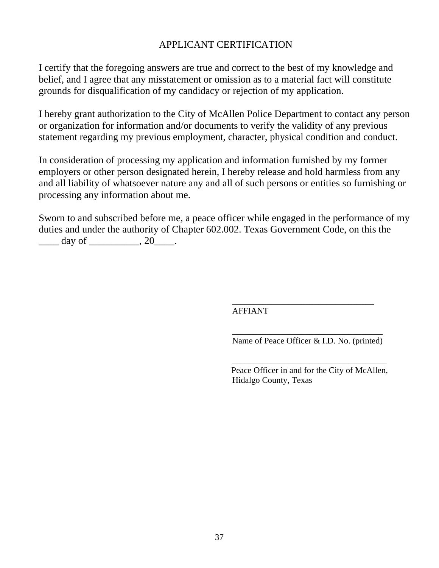## APPLICANT CERTIFICATION

I certify that the foregoing answers are true and correct to the best of my knowledge and belief, and I agree that any misstatement or omission as to a material fact will constitute grounds for disqualification of my candidacy or rejection of my application.

I hereby grant authorization to the City of McAllen Police Department to contact any person or organization for information and/or documents to verify the validity of any previous statement regarding my previous employment, character, physical condition and conduct.

In consideration of processing my application and information furnished by my former employers or other person designated herein, I hereby release and hold harmless from any and all liability of whatsoever nature any and all of such persons or entities so furnishing or processing any information about me.

Sworn to and subscribed before me, a peace officer while engaged in the performance of my duties and under the authority of Chapter 602.002. Texas Government Code, on this the  $day of$   $, 20$ .

> \_\_\_\_\_\_\_\_\_\_\_\_\_\_\_\_\_\_\_\_\_\_\_\_\_\_\_\_\_\_\_\_\_ AFFIANT

\_\_\_\_\_\_\_\_\_\_\_\_\_\_\_\_\_\_\_\_\_\_\_\_\_\_\_\_\_\_\_\_\_\_\_ Name of Peace Officer & I.D. No. (printed)

Peace Officer in and for the City of McAllen, Hidalgo County, Texas

\_\_\_\_\_\_\_\_\_\_\_\_\_\_\_\_\_\_\_\_\_\_\_\_\_\_\_\_\_\_\_\_\_\_\_\_